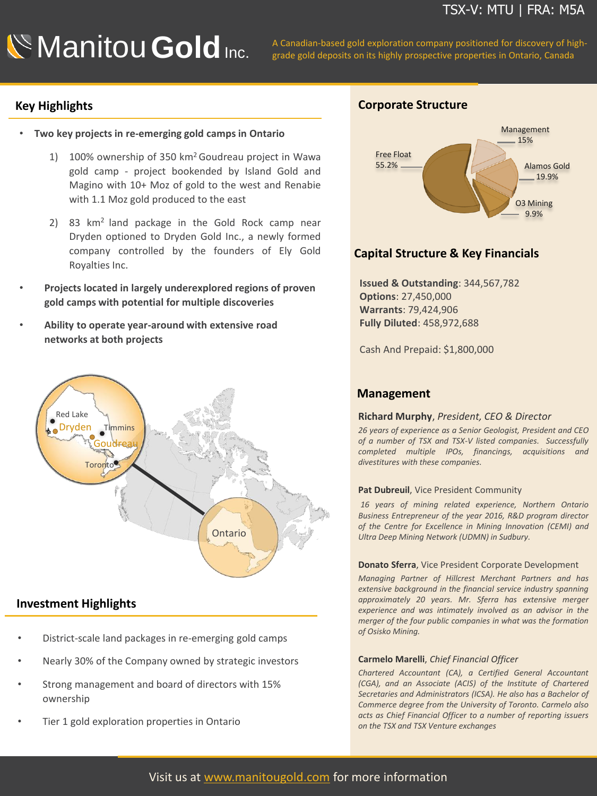**Manitou Gold** Inc. A Canadian-based gold exploration company positioned for discovery of high-<br>grade gold deposits on its highly prospective properties in Ontario, Canada

# **Key Highlights**

- **Two key projects in re-emerging gold camps in Ontario**
	- 1) 100% ownership of 350 km<sup>2</sup>Goudreau project in Wawa gold camp - project bookended by Island Gold and Magino with 10+ Moz of gold to the west and Renabie with 1.1 Moz gold produced to the east
	- 2) 83 km<sup>2</sup> land package in the Gold Rock camp near Dryden optioned to Dryden Gold Inc., a newly formed company controlled by the founders of Ely Gold Royalties Inc.
- **Projects located in largely underexplored regions of proven gold camps with potential for multiple discoveries**
- **Ability to operate year-around with extensive road networks at both projects**



## **Investment Highlights**

- District-scale land packages in re-emerging gold camps
- Nearly 30% of the Company owned by strategic investors
- Strong management and board of directors with 15% ownership
- Tier 1 gold exploration properties in Ontario

# **Corporate Structure**



# **Capital Structure & Key Financials**

**Issued & Outstanding**: 344,567,782 **Options**: 27,450,000 **Warrants**: 79,424,906 **Fully Diluted**: 458,972,688

Cash And Prepaid: \$1,800,000

# **Management**

### **Richard Murphy**, *President, CEO & Director*

*26 years of experience as a Senior Geologist, President and CEO of a number of TSX and TSX-V listed companies. Successfully completed multiple IPOs, financings, acquisitions and divestitures with these companies.*

#### **Pat Dubreuil**, Vice President Community

*16 years of mining related experience, Northern Ontario Business Entrepreneur of the year 2016, R&D program director of the Centre for Excellence in Mining Innovation (CEMI) and Ultra Deep Mining Network (UDMN) in Sudbury.*

#### **Donato Sferra**, Vice President Corporate Development

*Managing Partner of Hillcrest Merchant Partners and has extensive background in the financial service industry spanning approximately 20 years. Mr. Sferra has extensive merger experience and was intimately involved as an advisor in the merger of the four public companies in what was the formation of Osisko Mining.*

#### **Carmelo Marelli**, *Chief Financial Officer*

*Chartered Accountant (CA), a Certified General Accountant (CGA), and an Associate (ACIS) of the Institute of Chartered Secretaries and Administrators (ICSA). He also has a Bachelor of Commerce degree from the University of Toronto. Carmelo also acts as Chief Financial Officer to a number of reporting issuers on the TSX and TSX Venture exchanges*